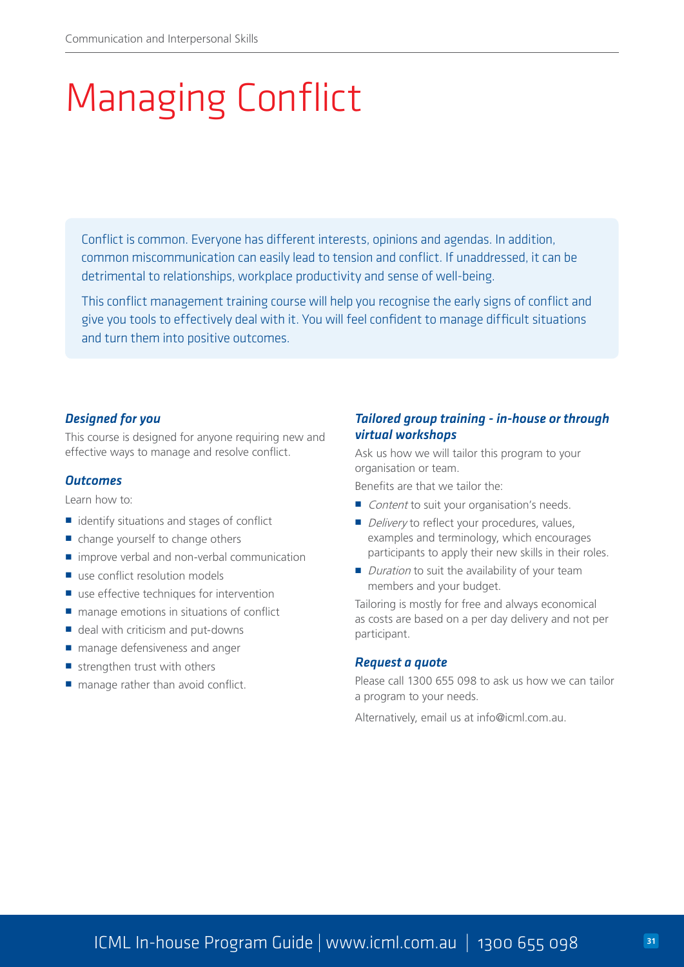# Managing Conflict

Conflict is common. Everyone has different interests, opinions and agendas. In addition, common miscommunication can easily lead to tension and conflict. If unaddressed, it can be detrimental to relationships, workplace productivity and sense of well-being.

This conflict management training course will help you recognise the early signs of conflict and give you tools to effectively deal with it. You will feel confident to manage difficult situations and turn them into positive outcomes.

### *Designed for you*

This course is designed for anyone requiring new and effective ways to manage and resolve conflict.

#### *Outcomes*

Learn how to:

- $\blacksquare$  identify situations and stages of conflict
- $\blacksquare$  change yourself to change others
- $\blacksquare$  improve verbal and non-verbal communication
- use conflict resolution models
- use effective techniques for intervention
- $\blacksquare$  manage emotions in situations of conflict
- $\blacksquare$  deal with criticism and put-downs
- manage defensiveness and anger
- $\blacksquare$  strengthen trust with others
- $\blacksquare$  manage rather than avoid conflict.

# *Tailored group training - in-house or through virtual workshops*

Ask us how we will tailor this program to your organisation or team.

Benefits are that we tailor the:

- Content to suit your organisation's needs.
- Delivery to reflect your procedures, values, examples and terminology, which encourages participants to apply their new skills in their roles.
- $\blacksquare$  Duration to suit the availability of your team members and your budget.

Tailoring is mostly for free and always economical as costs are based on a per day delivery and not per participant.

#### *Request a quote*

Please call 1300 655 098 to ask us how we can tailor a program to your needs.

Alternatively, email us at info@icml.com.au.